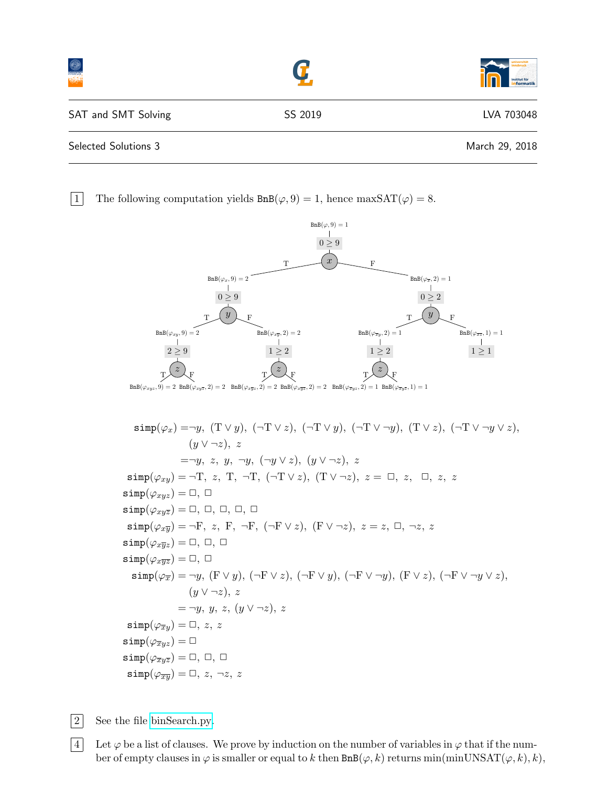|                      |         | <sub>institut für</sub><br><mark>informatik</mark> |
|----------------------|---------|----------------------------------------------------|
| SAT and SMT Solving  | SS 2019 | LVA 703048                                         |
| Selected Solutions 3 |         | March 29, 2018                                     |

1 The following computation yields  $\text{BnB}(\varphi, 9) = 1$ , hence  $\max\text{SAT}(\varphi) = 8$ .



 $\texttt{simp}(\varphi_x) = \neg y$ ,  $(T \vee y)$ ,  $(\neg T \vee z)$ ,  $(\neg T \vee y)$ ,  $(\neg T \vee \neg y)$ ,  $(T \vee z)$ ,  $(\neg T \vee \neg y \vee z)$ ,  $(y \vee \neg z), z$  $=\neg y, z, y, \neg y, (\neg y \vee z), (y \vee \neg z), z$  $\texttt{simp}(\varphi_{xy}) = \neg T, z, T, \neg T, (\neg T \vee z), (T \vee \neg z), z = \Box, z, \Box, z, z$  $\texttt{simp}(\varphi_{xyz}) = \square, \square$  $\texttt{simp}(\varphi_{xy\overline{z}})=\Box, \Box, \Box, \Box, \Box$  $\text{simp}(\varphi_{x\overline{y}}) = \neg F, z, F, \neg F, (\neg F \lor z), (F \lor \neg z), z = z, \Box, \neg z, z$  $\texttt{simp}(\varphi_{x\overline{y}z}) = \Box, \Box, \Box$  $\texttt{simp}(\varphi_{x\overline{yz}})=\square, \square$  $\texttt{simp}(\varphi_{\overline{x}}) = \neg y, (\text{F} \lor y), (\neg \text{F} \lor z), (\neg \text{F} \lor y), (\neg \text{F} \lor \neg y), (\text{F} \lor z), (\neg \text{F} \lor \neg y \lor z),$  $(y \vee \neg z), z$  $= \neg y, y, z, (y \vee \neg z), z$  $\texttt{simp}(\varphi_{\overline{x}y}) = \Box, z, z$  $\texttt{simp}(\varphi_{\overline{x}uz}) = \Box$  $\texttt{simp}(\varphi_{\overline{x}y\overline{z}})=\square, \square, \square$  $\texttt{simp}(\varphi_{\overline{x}\overline{y}}) = \Box, z, \neg z, z$ 

|2| See the file [binSearch.py.](http://cl-informatik.uibk.ac.at/teaching/ss19/satsmt/sources/binSearch.py)

4 Let  $\varphi$  be a list of clauses. We prove by induction on the number of variables in  $\varphi$  that if the number of empty clauses in  $\varphi$  is smaller or equal to k then  $\texttt{BnB}(\varphi, k)$  returns min(minUNSAT( $\varphi, k$ ), k),